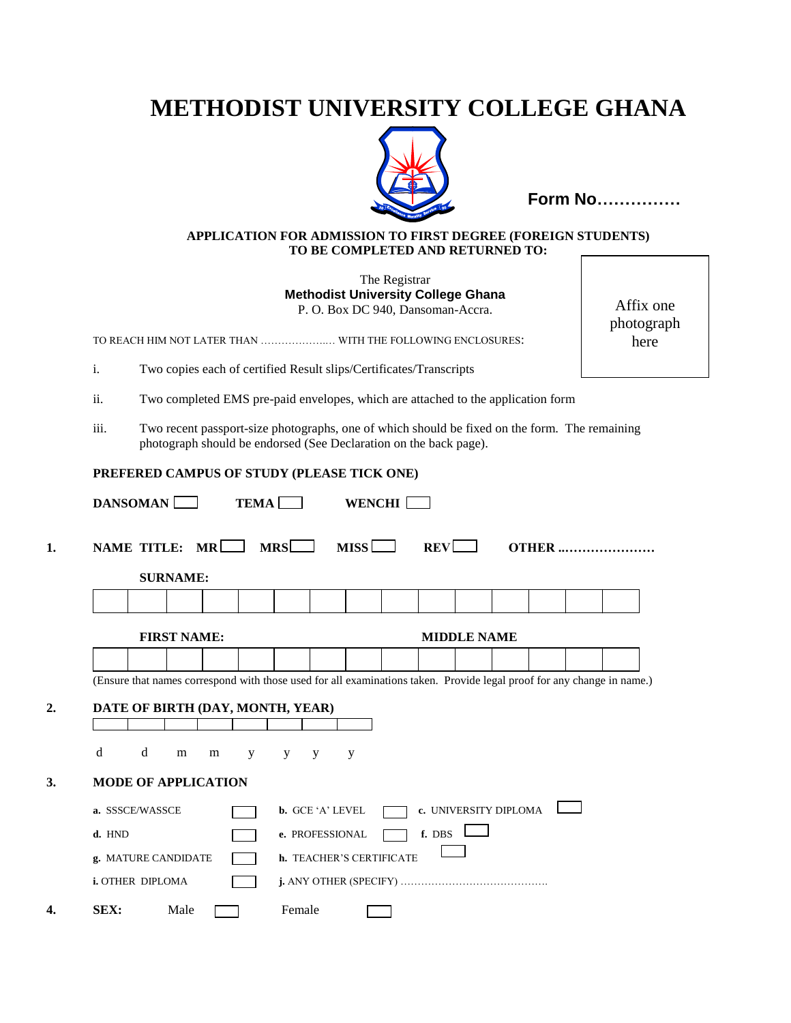# **METHODIST UNIVERSITY COLLEGE GHANA**



**Form No……………**

#### **APPLICATION FOR ADMISSION TO FIRST DEGREE (FOREIGN STUDENTS) TO BE COMPLETED AND RETURNED TO:**

The Registrar **Methodist University College Ghana** P. O. Box DC 940, Dansoman-Accra.

TO REACH HIM NOT LATER THAN ……………….… WITH THE FOLLOWING ENCLOSURES:

i. Two copies each of certified Result slips/Certificates/Transcripts

- ii. Two completed EMS pre-paid envelopes, which are attached to the application form
- iii. Two recent passport-size photographs, one of which should be fixed on the form. The remaining photograph should be endorsed (See Declaration on the back page).

#### **PREFERED CAMPUS OF STUDY (PLEASE TICK ONE)**

|        |                            | <b>SURNAME:</b>    |   |   |                                  |                         |                          |                       |                    |  |  |
|--------|----------------------------|--------------------|---|---|----------------------------------|-------------------------|--------------------------|-----------------------|--------------------|--|--|
|        |                            |                    |   |   |                                  |                         |                          |                       |                    |  |  |
|        |                            | <b>FIRST NAME:</b> |   |   |                                  |                         |                          |                       | <b>MIDDLE NAME</b> |  |  |
|        |                            |                    |   |   |                                  |                         |                          |                       |                    |  |  |
|        |                            |                    |   |   | DATE OF BIRTH (DAY, MONTH, YEAR) |                         |                          |                       |                    |  |  |
| d      | d                          | ${\bf m}$          | m | y | y                                | y                       | y                        |                       |                    |  |  |
|        | <b>MODE OF APPLICATION</b> |                    |   |   |                                  |                         |                          |                       |                    |  |  |
|        | a. SSSCE/WASSCE            |                    |   |   |                                  | <b>b.</b> GCE 'A' LEVEL |                          | c. UNIVERSITY DIPLOMA |                    |  |  |
|        |                            |                    |   |   |                                  | e. PROFESSIONAL         |                          | f. DBS                |                    |  |  |
| d. HND | g. MATURE CANDIDATE        |                    |   |   |                                  |                         | h. TEACHER'S CERTIFICATE |                       |                    |  |  |
|        | i. OTHER DIPLOMA           |                    |   |   |                                  |                         |                          |                       |                    |  |  |

Affix one photograph here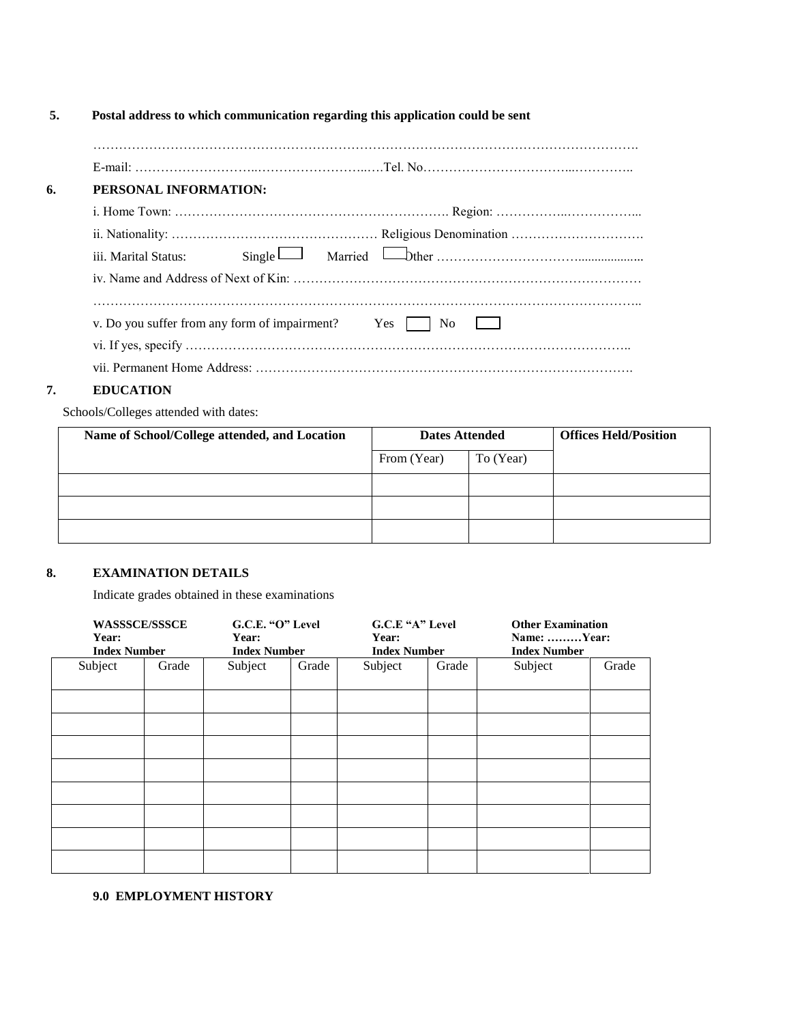### **5. Postal address to which communication regarding this application could be sent**

| PERSONAL INFORMATION:                             |                                                              |
|---------------------------------------------------|--------------------------------------------------------------|
|                                                   |                                                              |
|                                                   |                                                              |
|                                                   |                                                              |
|                                                   |                                                              |
| iii. Marital Status:                              | $Single$ $\Box$ Married $\Box$ Married $\Box$ Married $\Box$ |
|                                                   |                                                              |
|                                                   | N <sub>o</sub>                                               |
| v. Do you suffer from any form of impairment? Yes |                                                              |
|                                                   |                                                              |

#### **7. EDUCATION**

Schools/Colleges attended with dates:

| Name of School/College attended, and Location | <b>Dates Attended</b> |           | <b>Offices Held/Position</b> |
|-----------------------------------------------|-----------------------|-----------|------------------------------|
|                                               | From (Year)           | To (Year) |                              |
|                                               |                       |           |                              |
|                                               |                       |           |                              |
|                                               |                       |           |                              |

#### **8. EXAMINATION DETAILS**

Indicate grades obtained in these examinations

| <b>WASSSCE/SSSCE</b> |       | G.C.E. "O" Level    |       | G.C.E "A" Level     |       | <b>Other Examination</b> |       |  |
|----------------------|-------|---------------------|-------|---------------------|-------|--------------------------|-------|--|
| Year:                |       | Year:               |       | Year:               |       | Name: Year:              |       |  |
| <b>Index Number</b>  |       | <b>Index Number</b> |       | <b>Index Number</b> |       | <b>Index Number</b>      |       |  |
| Subject              | Grade | Subject             | Grade | Subject             | Grade | Subject                  | Grade |  |
|                      |       |                     |       |                     |       |                          |       |  |
|                      |       |                     |       |                     |       |                          |       |  |
|                      |       |                     |       |                     |       |                          |       |  |
|                      |       |                     |       |                     |       |                          |       |  |
|                      |       |                     |       |                     |       |                          |       |  |
|                      |       |                     |       |                     |       |                          |       |  |
|                      |       |                     |       |                     |       |                          |       |  |
|                      |       |                     |       |                     |       |                          |       |  |
|                      |       |                     |       |                     |       |                          |       |  |
|                      |       |                     |       |                     |       |                          |       |  |

**9.0 EMPLOYMENT HISTORY**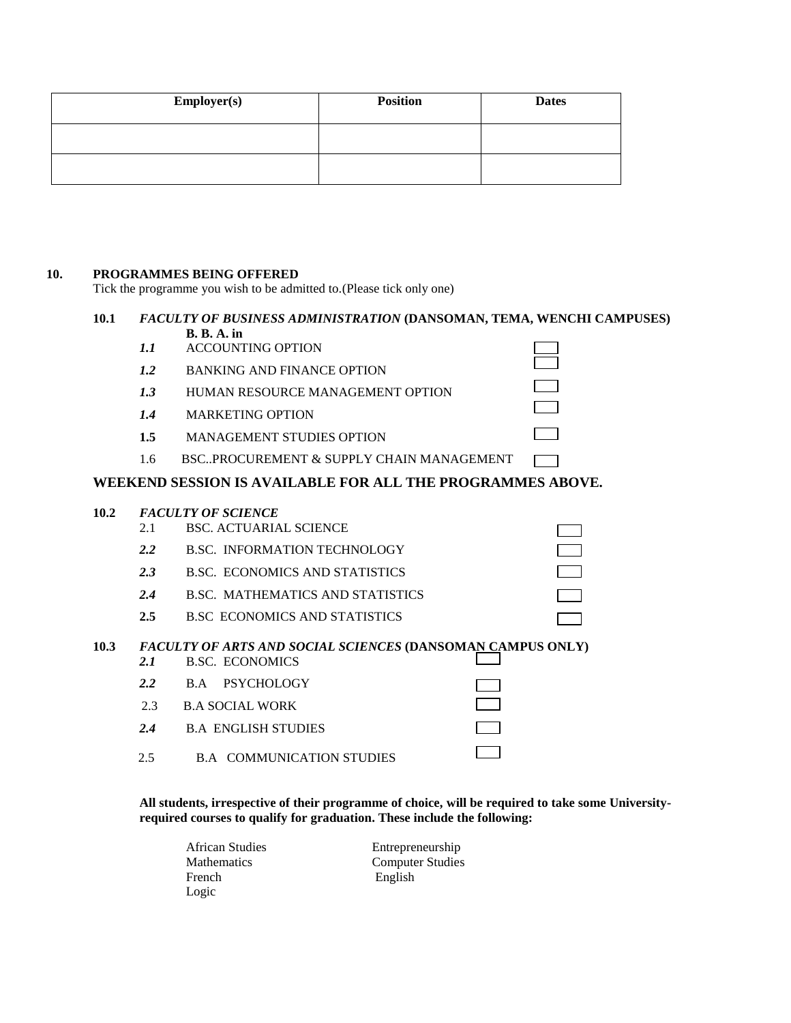| <b>Employer(s)</b> | <b>Position</b> | <b>Dates</b> |
|--------------------|-----------------|--------------|
|                    |                 |              |
|                    |                 |              |

#### **10. PROGRAMMES BEING OFFERED**

Tick the programme you wish to be admitted to.(Please tick only one)

#### **10.1** *FACULTY OF BUSINESS ADMINISTRATION* **(DANSOMAN, TEMA, WENCHI CAMPUSES) B. B. A. in**

 $\Box$ 

*1.1* ACCOUNTING OPTION

| 1.2<br><b>BANKING AND FINANCE OPTION</b> |  |
|------------------------------------------|--|
|------------------------------------------|--|

*1.3* HUMAN RESOURCE MANAGEMENT OPTION

- *1.4* MARKETING OPTION
- **1.5** MANAGEMENT STUDIES OPTION
- 1.6 BSC..PROCUREMENT & SUPPLY CHAIN MANAGEMENT

#### **WEEKEND SESSION IS AVAILABLE FOR ALL THE PROGRAMMES ABOVE.**

# **10.2** *FACULTY OF SCIENCE* 2.1 BSC. ACTUARIAL SCIENCE  $\Box$ *2.2* B.SC. INFORMATION TECHNOLOGY *2.3* B.SC. ECONOMICS AND STATISTICS *2.4* B.SC. MATHEMATICS AND STATISTICS **2.5** B.SC ECONOMICS AND STATISTICS **10.3** *FACULTY OF ARTS AND SOCIAL SCIENCES* **(DANSOMAN CAMPUS ONLY)** *2.1* B.SC. ECONOMICS *2.2* B.A PSYCHOLOGY 2.3 B.A SOCIAL WORK *2.4* B.A ENGLISH STUDIES 2.5 B.A COMMUNICATION STUDIES

**All students, irrespective of their programme of choice, will be required to take some Universityrequired courses to qualify for graduation. These include the following:**

| <b>African Studies</b> | Entrepreneurship        |
|------------------------|-------------------------|
| <b>Mathematics</b>     | <b>Computer Studies</b> |
| French                 | English                 |
| Logic                  |                         |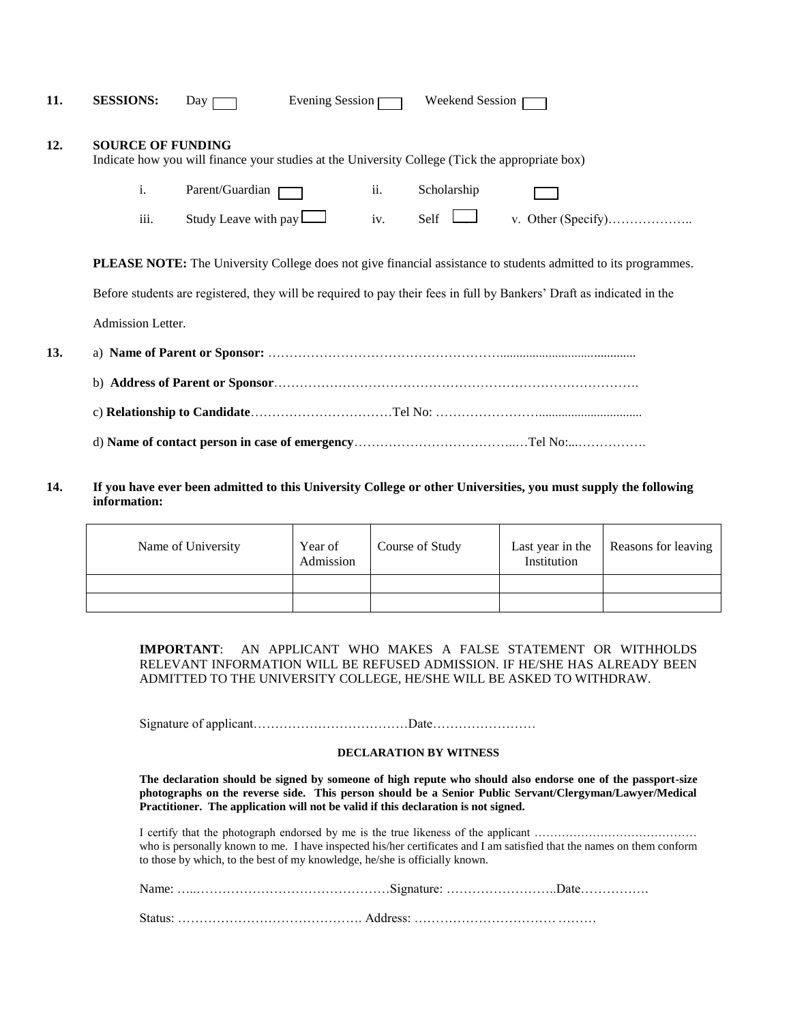| 11. | <b>SESSIONS:</b>         | Day 1                                                                                           | Evening Session | Weekend Session |  |
|-----|--------------------------|-------------------------------------------------------------------------------------------------|-----------------|-----------------|--|
| 12. | <b>SOURCE OF FUNDING</b> | Indicate how you will finance your studies at the University College (Tick the appropriate box) |                 |                 |  |
|     | 1.                       | Parent/Guardian                                                                                 | ii.             | Scholarship     |  |
|     | iii.                     | Study Leave with pay $\Box$                                                                     | iv.             | Self            |  |
|     |                          |                                                                                                 |                 |                 |  |

**PLEASE NOTE:** The University College does not give financial assistance to students admitted to its programmes.

Before students are registered, they will be required to pay their fees in full by Bankers' Draft as indicated in the

Admission Letter.

| 13. |  |
|-----|--|
|     |  |
|     |  |
|     |  |

**14. If you have ever been admitted to this University College or other Universities, you must supply the following information:**

| Name of University | Year of<br>Admission | Course of Study | Last year in the<br>Institution | Reasons for leaving |
|--------------------|----------------------|-----------------|---------------------------------|---------------------|
|                    |                      |                 |                                 |                     |
|                    |                      |                 |                                 |                     |

**IMPORTANT**: AN APPLICANT WHO MAKES A FALSE STATEMENT OR WITHHOLDS RELEVANT INFORMATION WILL BE REFUSED ADMISSION. IF HE/SHE HAS ALREADY BEEN ADMITTED TO THE UNIVERSITY COLLEGE, HE/SHE WILL BE ASKED TO WITHDRAW.

Signature of applicant………………………………Date……………………

#### **DECLARATION BY WITNESS**

**The declaration should be signed by someone of high repute who should also endorse one of the passport-size photographs on the reverse side. This person should be a Senior Public Servant/Clergyman/Lawyer/Medical Practitioner. The application will not be valid if this declaration is not signed.**

I certify that the photograph endorsed by me is the true likeness of the applicant …………………………………… who is personally known to me. I have inspected his/her certificates and I am satisfied that the names on them conform to those by which, to the best of my knowledge, he/she is officially known.

Status: ……………………………………. Address: ……………………………………